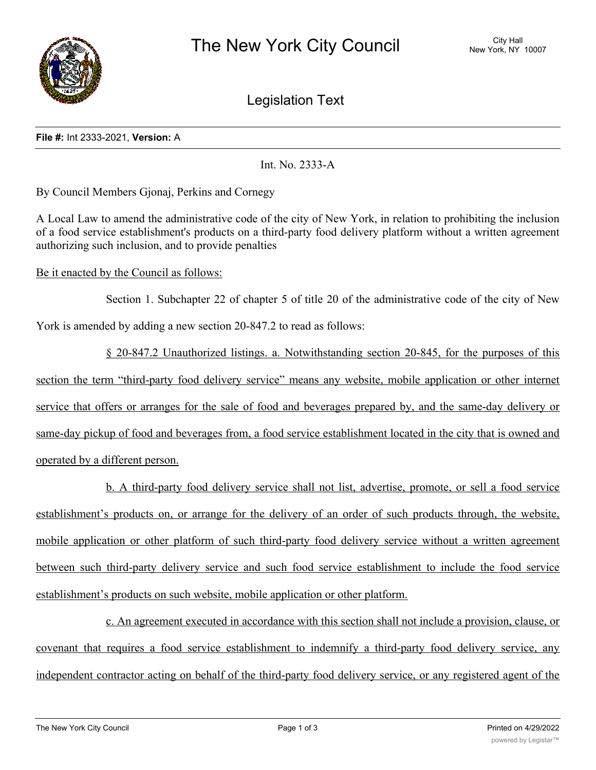

Legislation Text

## **File #:** Int 2333-2021, **Version:** A

Int. No. 2333-A

By Council Members Gjonaj, Perkins and Cornegy

A Local Law to amend the administrative code of the city of New York, in relation to prohibiting the inclusion of a food service establishment's products on a third-party food delivery platform without a written agreement authorizing such inclusion, and to provide penalties

Be it enacted by the Council as follows:

Section 1. Subchapter 22 of chapter 5 of title 20 of the administrative code of the city of New York is amended by adding a new section 20-847.2 to read as follows:

§ 20-847.2 Unauthorized listings. a. Notwithstanding section 20-845, for the purposes of this section the term "third-party food delivery service" means any website, mobile application or other internet service that offers or arranges for the sale of food and beverages prepared by, and the same-day delivery or same-day pickup of food and beverages from, a food service establishment located in the city that is owned and operated by a different person.

b. A third-party food delivery service shall not list, advertise, promote, or sell a food service establishment's products on, or arrange for the delivery of an order of such products through, the website, mobile application or other platform of such third-party food delivery service without a written agreement between such third-party delivery service and such food service establishment to include the food service establishment's products on such website, mobile application or other platform.

c. An agreement executed in accordance with this section shall not include a provision, clause, or covenant that requires a food service establishment to indemnify a third-party food delivery service, any independent contractor acting on behalf of the third-party food delivery service, or any registered agent of the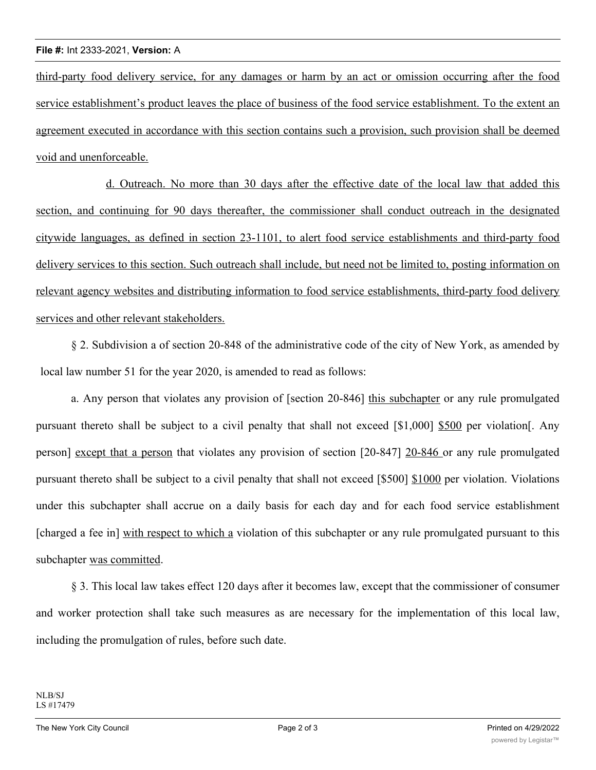third-party food delivery service, for any damages or harm by an act or omission occurring after the food service establishment's product leaves the place of business of the food service establishment. To the extent an agreement executed in accordance with this section contains such a provision, such provision shall be deemed void and unenforceable.

d. Outreach. No more than 30 days after the effective date of the local law that added this section, and continuing for 90 days thereafter, the commissioner shall conduct outreach in the designated citywide languages, as defined in section 23-1101, to alert food service establishments and third-party food delivery services to this section. Such outreach shall include, but need not be limited to, posting information on relevant agency websites and distributing information to food service establishments, third-party food delivery services and other relevant stakeholders.

§ 2. Subdivision a of section 20-848 of the administrative code of the city of New York, as amended by local law number 51 for the year 2020, is amended to read as follows:

a. Any person that violates any provision of [section 20-846] this subchapter or any rule promulgated pursuant thereto shall be subject to a civil penalty that shall not exceed [\$1,000] \$500 per violation[. Any person] except that a person that violates any provision of section [20-847] 20-846 or any rule promulgated pursuant thereto shall be subject to a civil penalty that shall not exceed [\$500] \$1000 per violation. Violations under this subchapter shall accrue on a daily basis for each day and for each food service establishment [charged a fee in] with respect to which a violation of this subchapter or any rule promulgated pursuant to this subchapter was committed.

§ 3. This local law takes effect 120 days after it becomes law, except that the commissioner of consumer and worker protection shall take such measures as are necessary for the implementation of this local law, including the promulgation of rules, before such date.